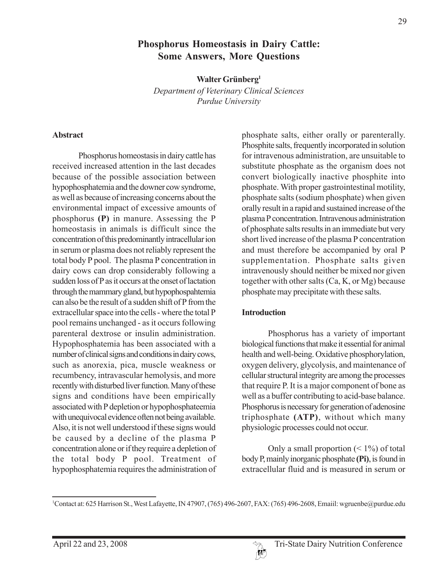# **Phosphorus Homeostasis in Dairy Cattle: Some Answers, More Questions**

**Walter Grünberg1**

*Department of Veterinary Clinical Sciences Purdue University*

#### **Abstract**

Phosphorus homeostasis in dairy cattle has received increased attention in the last decades because of the possible association between hypophosphatemia and the downer cow syndrome, as well as because of increasing concerns about the environmental impact of excessive amounts of phosphorus **(P)** in manure. Assessing the P homeostasis in animals is difficult since the concentration of this predominantly intracellular ion in serum or plasma does not reliably represent the total body P pool. The plasma P concentration in dairy cows can drop considerably following a sudden loss of P as it occurs at the onset of lactation through the mammary gland, but hypophospahtemia can also be the result of a sudden shift of P from the extracellular space into the cells - where the total P pool remains unchanged - as it occurs following parenteral dextrose or insulin administration. Hypophosphatemia has been associated with a number of clinical signs and conditions in dairy cows, such as anorexia, pica, muscle weakness or recumbency, intravascular hemolysis, and more recently with disturbed liver function. Many of these signs and conditions have been empirically associated with P depletion or hypophosphateemia with unequivocal evidence often not being available. Also, it is not well understood if these signs would be caused by a decline of the plasma P concentration alone or if they require a depletion of the total body P pool. Treatment of hypophosphatemia requires the administration of phosphate salts, either orally or parenterally. Phosphite salts, frequently incorporated in solution for intravenous administration, are unsuitable to substitute phosphate as the organism does not convert biologically inactive phosphite into phosphate. With proper gastrointestinal motility, phosphate salts (sodium phosphate) when given orally result in a rapid and sustained increase of the plasma P concentration. Intravenous administration of phosphate salts results in an immediate but very short lived increase of the plasma P concentration and must therefore be accompanied by oral P supplementation. Phosphate salts given intravenously should neither be mixed nor given together with other salts (Ca, K, or Mg) because phosphate may precipitate with these salts.

#### **Introduction**

Phosphorus has a variety of important biological functions that make it essential for animal health and well-being. Oxidative phosphorylation, oxygen delivery, glycolysis, and maintenance of cellular structural integrity are among the processes that require P. It is a major component of bone as well as a buffer contributing to acid-base balance. Phosphorus is necessary for generation of adenosine triphosphate **(ATP)**, without which many physiologic processes could not occur.

Only a small proportion  $($  < 1%) of total body P, mainly inorganic phosphate **(Pi)**, is found in extracellular fluid and is measured in serum or

<sup>1</sup> Contact at: 625 Harrison St., West Lafayette, IN 47907, (765) 496-2607, FAX: (765) 496-2608, Emaiil: wgruenbe@purdue.edu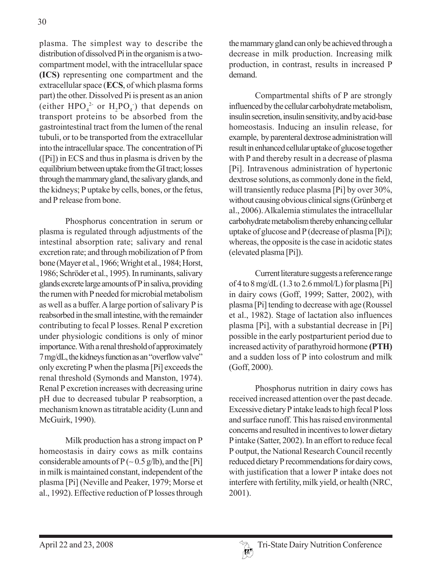plasma. The simplest way to describe the distribution of dissolved Pi in the organism is a twocompartment model, with the intracellular space **(ICS)** representing one compartment and the extracellular space (**ECS**, of which plasma forms part) the other. Dissolved Pi is present as an anion (either  $HPO_4^2$  or  $H_2PO_4^-$ ) that depends on transport proteins to be absorbed from the gastrointestinal tract from the lumen of the renal tubuli, or to be transported from the extracellular into the intracellular space. The concentration of Pi ([Pi]) in ECS and thus in plasma is driven by the equilibrium between uptake from the GI tract; losses through the mammary gland, the salivary glands, and the kidneys; P uptake by cells, bones, or the fetus, and P release from bone.

Phosphorus concentration in serum or plasma is regulated through adjustments of the intestinal absorption rate; salivary and renal excretion rate; and through mobilization of P from bone (Mayer et al., 1966; Wright et al., 1984; Horst, 1986; Schröder et al., 1995). In ruminants, salivary glands excrete large amounts of P in saliva, providing the rumen with P needed for microbial metabolism as well as a buffer. A large portion of salivary P is reabsorbed in the small intestine, with the remainder contributing to fecal P losses. Renal P excretion under physiologic conditions is only of minor importance. With a renal threshold of approximately 7 mg/dL, the kidneys function as an "overflow valve" only excreting P when the plasma [Pi] exceeds the renal threshold (Symonds and Manston, 1974). Renal P excretion increases with decreasing urine pH due to decreased tubular P reabsorption, a mechanism known as titratable acidity (Lunn and McGuirk, 1990).

Milk production has a strong impact on P homeostasis in dairy cows as milk contains considerable amounts of  $P$  (~0.5 g/lb), and the [Pi] in milk is maintained constant, independent of the plasma [Pi] (Neville and Peaker, 1979; Morse et al., 1992). Effective reduction of P losses through

the mammary gland can only be achieved through a decrease in milk production. Increasing milk production, in contrast, results in increased P demand.

Compartmental shifts of P are strongly influenced by the cellular carbohydrate metabolism, insulin secretion, insulin sensitivity, and by acid-base homeostasis. Inducing an insulin release, for example, by parenteral dextrose administration will result in enhanced cellular uptake of glucose together with P and thereby result in a decrease of plasma [Pi]. Intravenous administration of hypertonic dextrose solutions, as commonly done in the field, will transiently reduce plasma [Pi] by over 30%, without causing obvious clinical signs (Grünberg et al., 2006). Alkalemia stimulates the intracellular carbohydrate metabolism thereby enhancing cellular uptake of glucose and P (decrease of plasma [Pi]); whereas, the opposite is the case in acidotic states (elevated plasma [Pi]).

Current literature suggests a reference range of 4 to 8 mg/dL  $(1.3$  to 2.6 mmol/L) for plasma [Pi] in dairy cows (Goff, 1999; Satter, 2002), with plasma [Pi] tending to decrease with age (Roussel et al., 1982). Stage of lactation also influences plasma [Pi], with a substantial decrease in [Pi] possible in the early postparturient period due to increased activity of parathyroid hormone **(PTH)** and a sudden loss of P into colostrum and milk (Goff, 2000).

Phosphorus nutrition in dairy cows has received increased attention over the past decade. Excessive dietary P intake leads to high fecal P loss and surface runoff. This has raised environmental concerns and resulted in incentives to lower dietary P intake (Satter, 2002). In an effort to reduce fecal P output, the National Research Council recently reduced dietary P recommendations for dairy cows, with justification that a lower P intake does not interfere with fertility, milk yield, or health (NRC, 2001).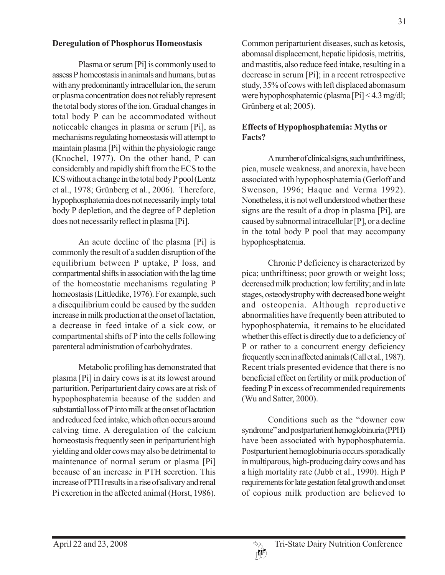#### **Deregulation of Phosphorus Homeostasis**

Plasma or serum [Pi] is commonly used to assess P homeostasis in animals and humans, but as with any predominantly intracellular ion, the serum or plasma concentration does not reliably represent the total body stores of the ion. Gradual changes in total body P can be accommodated without noticeable changes in plasma or serum [Pi], as mechanisms regulating homeostasis will attempt to maintain plasma [Pi] within the physiologic range (Knochel, 1977). On the other hand, P can considerably and rapidly shift from the ECS to the ICS without a change in the total body P pool (Lentz et al., 1978; Grünberg et al., 2006). Therefore, hypophosphatemia does not necessarily imply total body P depletion, and the degree of P depletion does not necessarily reflect in plasma [Pi].

An acute decline of the plasma [Pi] is commonly the result of a sudden disruption of the equilibrium between P uptake, P loss, and compartmental shifts in association with the lag time of the homeostatic mechanisms regulating P homeostasis (Littledike, 1976). For example, such a disequilibrium could be caused by the sudden increase in milk production at the onset of lactation, a decrease in feed intake of a sick cow, or compartmental shifts of P into the cells following parenteral administration of carbohydrates.

Metabolic profiling has demonstrated that plasma [Pi] in dairy cows is at its lowest around parturition. Periparturient dairy cows are at risk of hypophosphatemia because of the sudden and substantial loss of P into milk at the onset of lactation and reduced feed intake, which often occurs around calving time. A deregulation of the calcium homeostasis frequently seen in periparturient high yielding and older cows may also be detrimental to maintenance of normal serum or plasma [Pi] because of an increase in PTH secretion. This increase of PTH results in a rise of salivary and renal Pi excretion in the affected animal (Horst, 1986).

Common periparturient diseases, such as ketosis, abomasal displacement, hepatic lipidosis, metritis, and mastitis, also reduce feed intake, resulting in a decrease in serum [Pi]; in a recent retrospective study, 35% of cows with left displaced abomasum were hypophosphatemic (plasma [Pi] < 4.3 mg/dl; Grünberg et al; 2005).

## **Effects of Hypophosphatemia: Myths or Facts?**

A number of clinical signs, such unthriftiness, pica, muscle weakness, and anorexia, have been associated with hypophosphatemia (Gerloff and Swenson, 1996; Haque and Verma 1992). Nonetheless, it is not well understood whether these signs are the result of a drop in plasma [Pi], are caused by subnormal intracellular [P], or a decline in the total body P pool that may accompany hypophosphatemia.

Chronic P deficiency is characterized by pica; unthriftiness; poor growth or weight loss; decreased milk production; low fertility; and in late stages, osteodystrophy with decreased bone weight and osteopenia. Although reproductive abnormalities have frequently been attributed to hypophosphatemia, it remains to be elucidated whether this effect is directly due to a deficiency of P or rather to a concurrent energy deficiency frequently seen in affected animals (Call et al., 1987). Recent trials presented evidence that there is no beneficial effect on fertility or milk production of feeding P in excess of recommended requirements (Wu and Satter, 2000).

Conditions such as the "downer cow syndrome" and postparturient hemoglobinuria (PPH) have been associated with hypophosphatemia. Postparturient hemoglobinuria occurs sporadically in multiparous, high-producing dairy cows and has a high mortality rate (Jubb et al., 1990). High P requirements for late gestation fetal growth and onset of copious milk production are believed to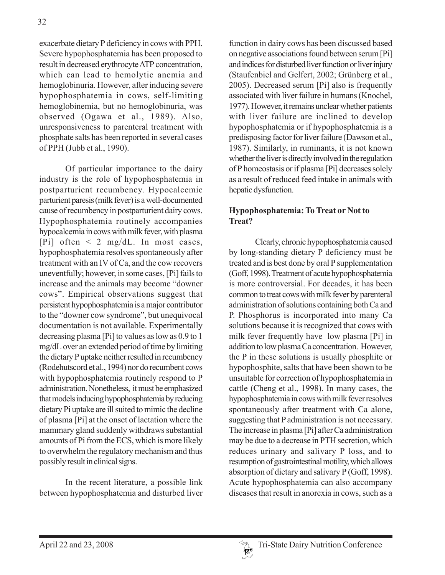exacerbate dietary P deficiency in cows with PPH. Severe hypophosphatemia has been proposed to result in decreased erythrocyte ATP concentration, which can lead to hemolytic anemia and hemoglobinuria. However, after inducing severe hypophosphatemia in cows, self-limiting hemoglobinemia, but no hemoglobinuria, was observed (Ogawa et al., 1989). Also, unresponsiveness to parenteral treatment with phosphate salts has been reported in several cases of PPH (Jubb et al., 1990).

Of particular importance to the dairy industry is the role of hypophosphatemia in postparturient recumbency. Hypocalcemic parturient paresis (milk fever) is a well-documented cause of recumbency in postparturient dairy cows. Hypophosphatemia routinely accompanies hypocalcemia in cows with milk fever, with plasma [Pi] often  $\leq$  2 mg/dL. In most cases, hypophosphatemia resolves spontaneously after treatment with an IV of Ca, and the cow recovers uneventfully; however, in some cases, [Pi] fails to increase and the animals may become "downer cows". Empirical observations suggest that persistent hypophosphatemia is a major contributor to the "downer cow syndrome", but unequivocal documentation is not available. Experimentally decreasing plasma [Pi] to values as low as 0.9 to 1 mg/dL over an extended period of time by limiting the dietary P uptake neither resulted in recumbency (Rodehutscord et al., 1994) nor do recumbent cows with hypophosphatemia routinely respond to P administration. Nonetheless, it must be emphasized that models inducing hypophosphatemia by reducing dietary Pi uptake are ill suited to mimic the decline of plasma [Pi] at the onset of lactation where the mammary gland suddenly withdraws substantial amounts of Pi from the ECS, which is more likely to overwhelm the regulatory mechanism and thus possibly result in clinical signs.

In the recent literature, a possible link between hypophosphatemia and disturbed liver

function in dairy cows has been discussed based on negative associations found between serum [Pi] and indices for disturbed liver function or liver injury (Staufenbiel and Gelfert, 2002; Grünberg et al., 2005). Decreased serum [Pi] also is frequently associated with liver failure in humans (Knochel, 1977). However, it remains unclear whether patients with liver failure are inclined to develop hypophosphatemia or if hypophosphatemia is a predisposing factor for liver failure (Dawson et al., 1987). Similarly, in ruminants, it is not known whether the liver is directly involved in the regulation of P homeostasis or if plasma [Pi] decreases solely as a result of reduced feed intake in animals with hepatic dysfunction.

#### **Hypophosphatemia: To Treat or Not to Treat?**

Clearly, chronic hypophosphatemia caused by long-standing dietary P deficiency must be treated and is best done by oral P supplementation (Goff, 1998). Treatment of acute hypophosphatemia is more controversial. For decades, it has been common to treat cows with milk fever by parenteral administration of solutions containing both Ca and P. Phosphorus is incorporated into many Ca solutions because it is recognized that cows with milk fever frequently have low plasma [Pi] in addition to low plasma Ca concentration. However, the P in these solutions is usually phosphite or hypophosphite, salts that have been shown to be unsuitable for correction of hypophosphatemia in cattle (Cheng et al., 1998). In many cases, the hypophosphatemia in cows with milk fever resolves spontaneously after treatment with Ca alone, suggesting that P administration is not necessary. The increase in plasma [Pi] after Ca administration may be due to a decrease in PTH secretion, which reduces urinary and salivary P loss, and to resumption of gastrointestinal motility, which allows absorption of dietary and salivary P (Goff, 1998). Acute hypophosphatemia can also accompany diseases that result in anorexia in cows, such as a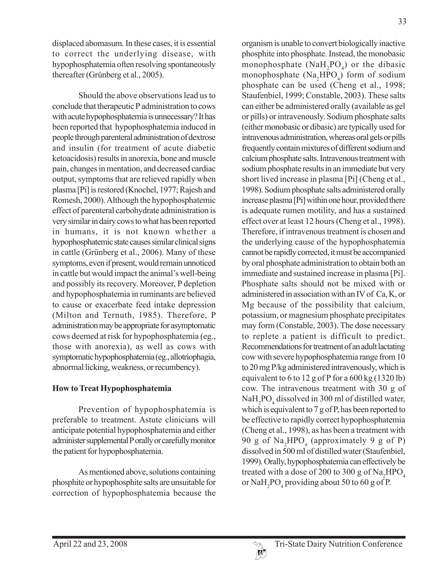displaced abomasum. In these cases, it is essential to correct the underlying disease, with hypophosphatemia often resolving spontaneously thereafter (Grünberg et al., 2005).

Should the above observations lead us to conclude that therapeutic P administration to cows with acute hypophosphatemia is unnecessary? It has been reported that hypophosphatemia induced in people through parenteral administration of dextrose and insulin (for treatment of acute diabetic ketoacidosis) results in anorexia, bone and muscle pain, changes in mentation, and decreased cardiac output, symptoms that are relieved rapidly when plasma [Pi] is restored (Knochel, 1977; Rajesh and Romesh, 2000). Although the hypophosphatemic effect of parenteral carbohydrate administration is very similar in dairy cows to what has been reported in humans, it is not known whether a hypophosphatemic state causes similar clinical signs in cattle (Grünberg et al., 2006). Many of these symptoms, even if present, would remain unnoticed in cattle but would impact the animal's well-being and possibly its recovery. Moreover, P depletion and hypophosphatemia in ruminants are believed to cause or exacerbate feed intake depression (Milton and Ternuth, 1985). Therefore, P administration may be appropriate for asymptomatic cows deemed at risk for hypophosphatemia (eg., those with anorexia), as well as cows with symptomatic hypophosphatemia (eg., allotriophagia, abnormal licking, weakness, or recumbency).

## **How to Treat Hypophosphatemia**

Prevention of hypophosphatemia is preferable to treatment. Astute clinicians will anticipate potential hypophosphatemia and either administer supplemental P orally or carefully monitor the patient for hypophosphatemia.

As mentioned above, solutions containing phosphite or hypophosphite salts are unsuitable for correction of hypophosphatemia because the

organism is unable to convert biologically inactive phosphite into phosphate. Instead, the monobasic monophosphate  $(NaH_2PO_4)$  or the dibasic monophosphate  $(Na_2HPO_4)$  form of sodium phosphate can be used (Cheng et al., 1998; Staufenbiel, 1999; Constable, 2003). These salts can either be administered orally (available as gel or pills) or intravenously. Sodium phosphate salts (either monobasic or dibasic) are typically used for intravenous administration, whereas oral gels or pills frequently contain mixtures of different sodium and calcium phosphate salts. Intravenous treatment with sodium phosphate results in an immediate but very short lived increase in plasma [Pi] (Cheng et al., 1998). Sodium phosphate salts administered orally increase plasma [Pi] within one hour, provided there is adequate rumen motility, and has a sustained effect over at least 12 hours (Cheng et al., 1998). Therefore, if intravenous treatment is chosen and the underlying cause of the hypophosphatemia cannot be rapidly corrected, it must be accompanied by oral phosphate administration to obtain both an immediate and sustained increase in plasma [Pi]. Phosphate salts should not be mixed with or administered in association with an IV of Ca, K, or Mg because of the possibility that calcium, potassium, or magnesium phosphate precipitates may form (Constable, 2003). The dose necessary to replete a patient is difficult to predict. Recommendations for treatment of an adult lactating cow with severe hypophosphatemia range from 10 to 20 mg P/kg administered intravenously, which is equivalent to 6 to 12 g of P for a 600 kg (1320 lb) cow. The intravenous treatment with 30 g of  $\text{NaH}_2\text{PO}_4$  dissolved in 300 ml of distilled water, which is equivalent to 7 g of P, has been reported to be effective to rapidly correct hypophosphatemia (Cheng et al., 1998), as has been a treatment with 90 g of  $\text{Na}_2\text{HPO}_4$  (approximately 9 g of P) dissolved in 500 ml of distilled water (Staufenbiel, 1999). Orally, hypophosphatemia can effectively be treated with a dose of 200 to 300 g of  $\text{Na}_{2}\text{HPO}_{4}$ or  $\text{NaH}_2\text{PO}_4$  providing about 50 to 60 g of P.

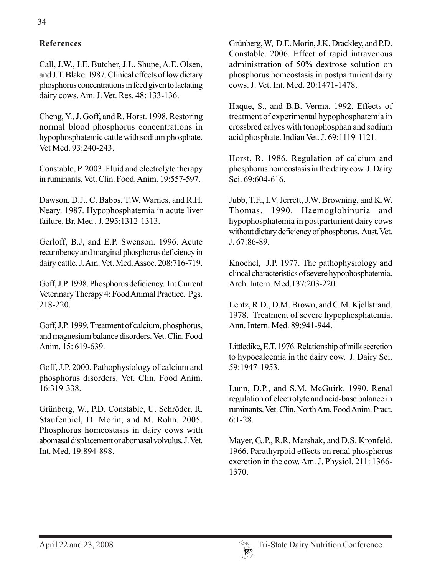## **References**

Call, J.W., J.E. Butcher, J.L. Shupe, A.E. Olsen, and J.T. Blake. 1987. Clinical effects of low dietary phosphorus concentrations in feed given to lactating dairy cows. Am. J. Vet. Res. 48: 133-136.

Cheng, Y., J. Goff, and R. Horst. 1998. Restoring normal blood phosphorus concentrations in hypophosphatemic cattle with sodium phosphate. Vet Med. 93:240-243.

Constable, P. 2003. Fluid and electrolyte therapy in ruminants. Vet. Clin. Food. Anim. 19:557-597.

Dawson, D.J., C. Babbs, T.W. Warnes, and R.H. Neary. 1987. Hypophosphatemia in acute liver failure. Br. Med J. 295:1312-1313.

Gerloff, B.J, and E.P. Swenson. 1996. Acute recumbency and marginal phosphorus deficiency in dairy cattle. J. Am. Vet. Med. Assoc. 208:716-719.

Goff, J.P. 1998. Phosphorus deficiency. In: Current Veterinary Therapy 4: Food Animal Practice. Pgs. 218-220.

Goff, J.P. 1999. Treatment of calcium, phosphorus, and magnesium balance disorders. Vet. Clin. Food Anim. 15: 619-639.

Goff, J.P. 2000. Pathophysiology of calcium and phosphorus disorders. Vet. Clin. Food Anim. 16:319-338.

Grünberg, W., P.D. Constable, U. Schröder, R. Staufenbiel, D. Morin, and M. Rohn. 2005. Phosphorus homeostasis in dairy cows with abomasal displacement or abomasal volvulus. J. Vet. Int. Med. 19:894-898.

Grünberg, W, D.E. Morin, J.K. Drackley, and P.D. Constable. 2006. Effect of rapid intravenous administration of 50% dextrose solution on phosphorus homeostasis in postparturient dairy cows. J. Vet. Int. Med. 20:1471-1478.

Haque, S., and B.B. Verma. 1992. Effects of treatment of experimental hypophosphatemia in crossbred calves with tonophosphan and sodium acid phosphate. Indian Vet. J. 69:1119-1121.

Horst, R. 1986. Regulation of calcium and phosphorus homeostasis in the dairy cow. J. Dairy Sci. 69:604-616.

Jubb, T.F., I.V. Jerrett, J.W. Browning, and K.W. Thomas. 1990. Haemoglobinuria and hypophosphatemia in postparturient dairy cows without dietary deficiency of phosphorus. Aust. Vet. J. 67:86-89.

Knochel, J.P. 1977. The pathophysiology and clincal characteristics of severe hypophosphatemia. Arch. Intern. Med.137:203-220.

Lentz, R.D., D.M. Brown, and C.M. Kjellstrand. 1978. Treatment of severe hypophosphatemia. Ann. Intern. Med. 89:941-944.

Littledike, E.T. 1976. Relationship of milk secretion to hypocalcemia in the dairy cow. J. Dairy Sci. 59:1947-1953.

Lunn, D.P., and S.M. McGuirk. 1990. Renal regulation of electrolyte and acid-base balance in ruminants. Vet. Clin. North Am. Food Anim. Pract. 6:1-28.

Mayer, G..P., R.R. Marshak, and D.S. Kronfeld. 1966. Parathyrpoid effects on renal phosphorus excretion in the cow. Am. J. Physiol. 211: 1366- 1370.